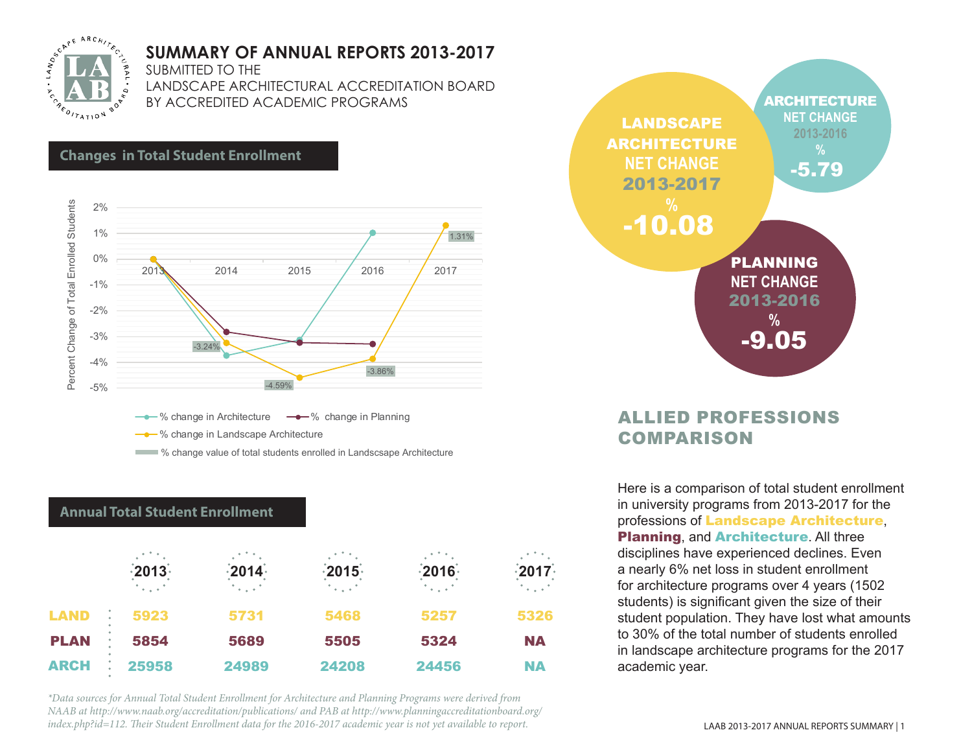

## **SUMMARY OF ANNUAL REPORTS 2013-2017**

SUBMITTED TO THE

LANDSCAPE ARCHITECTURAL ACCREDITATION BOARD BY ACCREDITED ACADEMIC PROGRAMS



**-** % change in Landscape Architecture

**W** change value of total students enrolled in Landscsape Architecture

### **Annual Total Student Enrollment**

|             | $-2013 -$      | $\frac{1}{2}$ 2014 $\frac{1}{2}$ | $\frac{1}{2}$ 2015 $\frac{1}{2}$ | $-2016$                    | $-2017$              |
|-------------|----------------|----------------------------------|----------------------------------|----------------------------|----------------------|
|             | $\sim 10^{-1}$ | $\sim$ $\sim$ $\sim$ $^{\circ}$  | i a cant                         | $\mathcal{L}_{\text{max}}$ | $\sim$ $\sim$ $\sim$ |
| LAND        | 5923           | 5731                             | 5468                             | 5257                       | 5326                 |
| <b>PLAN</b> | 5854           | 5689                             | 5505                             | 5324                       | <b>NA</b>            |
| <b>ARCH</b> | 25958          | 24989                            | 24208                            | 24456                      | <b>NA</b>            |

*\*Data sources for Annual Total Student Enrollment for Architecture and Planning Programs were derived from NAAB at http://www.naab.org/accreditation/publications/ and PAB at http://www.planningaccreditationboard.org/ index.php?id=112. Their Student Enrollment data for the 2016-2017 academic year is not yet available to report.*



## ALLIED PROFESSIONS **COMPARISON**

Here is a comparison of total student enrollment in university programs from 2013-2017 for the professions of Landscape Architecture, **Planning, and Architecture. All three** disciplines have experienced declines. Even a nearly 6% net loss in student enrollment for architecture programs over 4 years (1502 students) is significant given the size of their student population. They have lost what amounts to 30% of the total number of students enrolled in landscape architecture programs for the 2017 academic year.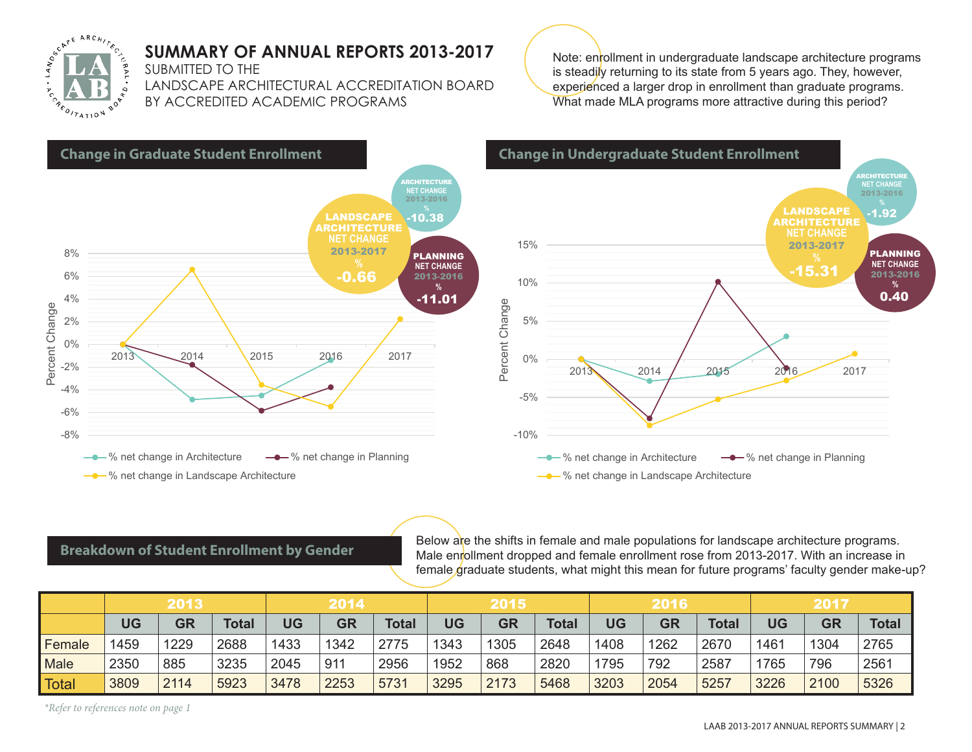

## **SUMMARY OF ANNUAL REPORTS 2013-2017**

SUBMITTED TO THE

LANDSCAPE ARCHITECTURAL ACCREDITATION BOARD BY ACCREDITED ACADEMIC PROGRAMS





### **Breakdown of Student Enrollment by Gender**

Below are the shifts in female and male populations for landscape architecture programs. Male enrollment dropped and female enrollment rose from 2013-2017. With an increase in female graduate students, what might this mean for future programs' faculty gender make-up?

|              | 2013 |           |              | 2014 |           |             | 2015 |           |              | 2016      |           |              | 2017      |           |              |
|--------------|------|-----------|--------------|------|-----------|-------------|------|-----------|--------------|-----------|-----------|--------------|-----------|-----------|--------------|
|              | UG   | <b>GR</b> | <b>Total</b> | UG   | <b>GR</b> | <b>Tota</b> | UG   | <b>GR</b> | <b>Total</b> | <b>UG</b> | <b>GR</b> | <b>Total</b> | <b>UG</b> | <b>GR</b> | <b>Total</b> |
| Female       | 1459 | 1229      | 2688         | 1433 | 1342      | 2775        | 1343 | 1305      | 2648         | 1408      | 1262      | 2670         | 1461      | 1304      | 2765         |
| Male         | 2350 | 885       | 3235         | 2045 | 911       | 2956        | 1952 | 868       | 2820         | 1795      | 792       | 2587         | 1765      | 796       | 2561         |
| <b>Total</b> | 3809 | 2114      | 5923         | 3478 | 2253      | 5731        | 3295 | 2173      | 5468         | 3203      | 2054      | 5257         | 3226      | 2100      | 5326         |

*\*Refer to references note on page 1*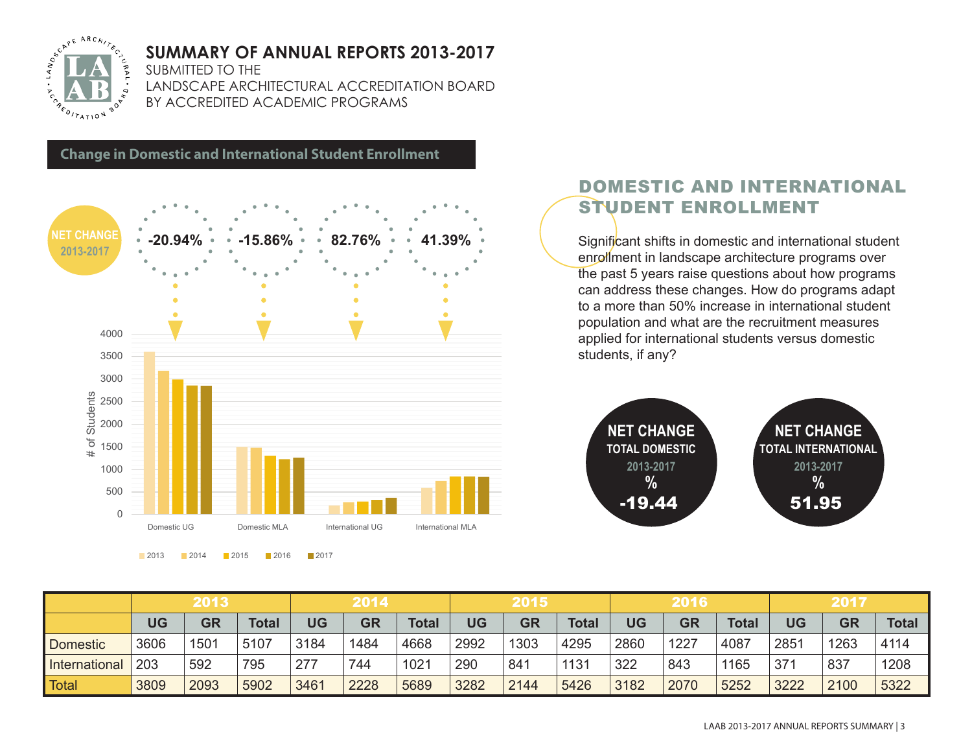

## **SUMMARY OF ANNUAL REPORTS 2013-2017**

SUBMITTED TO THE

**Change in Domestic and International Student Enrollment**

LANDSCAPE ARCHITECTURAL ACCREDITATION BOARD BY ACCREDITED ACADEMIC PROGRAMS

 $\Omega$ 500 1000 1500 2000 2500 3000 3500 4000 Domestic UG Domestic MLA International UG International MLA # of Students of Students **NET CHANGE 2013-2017** • 20.94% • 15.86% • 82.76% • 41.39% · Significant shifts in domestic and international student **2013-2017 -20.94% -15.86% 82.76% 41.39%**

**2013 2014 2015 2016 2017** 

## DOMESTIC AND INTERNATIONAL STUDENT ENROLLMENT

enrollment in landscape architecture programs over the past 5 years raise questions about how programs can address these changes. How do programs adapt to a more than 50% increase in international student population and what are the recruitment measures applied for international students versus domestic students, if any?



|               | 2013      |      |              | 2014      |           |              | 2015      |           |              | 2016      |           |              | 2017      |           |              |
|---------------|-----------|------|--------------|-----------|-----------|--------------|-----------|-----------|--------------|-----------|-----------|--------------|-----------|-----------|--------------|
|               | <b>UG</b> | GR   | <b>Total</b> | <b>UG</b> | <b>GR</b> | <b>Total</b> | <b>UG</b> | <b>GR</b> | <b>Total</b> | <b>UG</b> | <b>GR</b> | <b>Total</b> | <b>UG</b> | <b>GR</b> | <b>Total</b> |
| Domestic      | 3606      | 1501 | 5107         | 3184      | 1484      | 4668         | 2992      | 1303      | 4295         | 2860      | 1227      | 4087         | 2851      | 1263      | 4114         |
| International | 203       | 592  | 795          | 277       | 744       | 1021         | 290       | 841       | 1131         | 322       | 843       | 1165         | 37'       | 837       | 1208         |
| <b>Total</b>  | 3809      | 2093 | 5902         | 3461      | 2228      | 5689         | 3282      | 2144      | 5426         | 3182      | 2070      | 5252         | 3222      | 2100      | 5322         |